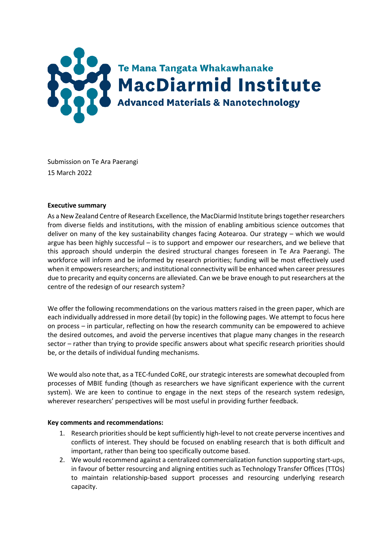

Submission on Te Ara Paerangi 15 March 2022

## **Executive summary**

As a New Zealand Centre of Research Excellence, the MacDiarmid Institute brings together researchers from diverse fields and institutions, with the mission of enabling ambitious science outcomes that deliver on many of the key sustainability changes facing Aotearoa. Our strategy – which we would argue has been highly successful – is to support and empower our researchers, and we believe that this approach should underpin the desired structural changes foreseen in Te Ara Paerangi. The workforce will inform and be informed by research priorities; funding will be most effectively used when it empowers researchers; and institutional connectivity will be enhanced when career pressures due to precarity and equity concerns are alleviated. Can we be brave enough to put researchers at the centre of the redesign of our research system?

We offer the following recommendations on the various matters raised in the green paper, which are each individually addressed in more detail (by topic) in the following pages. We attempt to focus here on process – in particular, reflecting on how the research community can be empowered to achieve the desired outcomes, and avoid the perverse incentives that plague many changes in the research sector – rather than trying to provide specific answers about what specific research priorities should be, or the details of individual funding mechanisms.

We would also note that, as a TEC-funded CoRE, our strategic interests are somewhat decoupled from processes of MBIE funding (though as researchers we have significant experience with the current system). We are keen to continue to engage in the next steps of the research system redesign, wherever researchers' perspectives will be most useful in providing further feedback.

## **Key comments and recommendations:**

- 1. Research priorities should be kept sufficiently high-level to not create perverse incentives and conflicts of interest. They should be focused on enabling research that is both difficult and important, rather than being too specifically outcome based.
- 2. We would recommend against a centralized commercialization function supporting start-ups, in favour of better resourcing and aligning entities such as Technology Transfer Offices (TTOs) to maintain relationship-based support processes and resourcing underlying research capacity.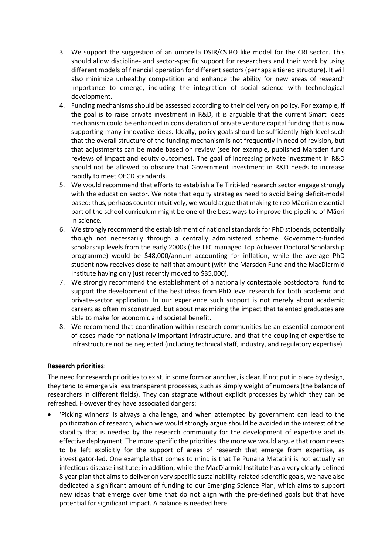- 3. We support the suggestion of an umbrella DSIR/CSIRO like model for the CRI sector. This should allow discipline- and sector-specific support for researchers and their work by using different models of financial operation for different sectors (perhaps a tiered structure). It will also minimize unhealthy competition and enhance the ability for new areas of research importance to emerge, including the integration of social science with technological development.
- 4. Funding mechanisms should be assessed according to their delivery on policy. For example, if the goal is to raise private investment in R&D, it is arguable that the current Smart Ideas mechanism could be enhanced in consideration of private venture capital funding that is now supporting many innovative ideas. Ideally, policy goals should be sufficiently high-level such that the overall structure of the funding mechanism is not frequently in need of revision, but that adjustments can be made based on review (see for example, published Marsden fund reviews of impact and equity outcomes). The goal of increasing private investment in R&D should not be allowed to obscure that Government investment in R&D needs to increase rapidly to meet OECD standards.
- 5. We would recommend that efforts to establish a Te Tiriti-led research sector engage strongly with the education sector. We note that equity strategies need to avoid being deficit-model based: thus, perhaps counterintuitively, we would argue that making te reo Māori an essential part of the school curriculum might be one of the best ways to improve the pipeline of Māori in science.
- 6. We strongly recommend the establishment of national standards for PhD stipends, potentially though not necessarily through a centrally administered scheme. Government-funded scholarship levels from the early 2000s (the TEC managed Top Achiever Doctoral Scholarship programme) would be \$48,000/annum accounting for inflation, while the average PhD student now receives close to half that amount (with the Marsden Fund and the MacDiarmid Institute having only just recently moved to \$35,000).
- 7. We strongly recommend the establishment of a nationally contestable postdoctoral fund to support the development of the best ideas from PhD level research for both academic and private-sector application. In our experience such support is not merely about academic careers as often misconstrued, but about maximizing the impact that talented graduates are able to make for economic and societal benefit.
- 8. We recommend that coordination within research communities be an essential component of cases made for nationally important infrastructure, and that the coupling of expertise to infrastructure not be neglected (including technical staff, industry, and regulatory expertise).

# **Research priorities**:

The need for research priorities to exist, in some form or another, is clear. If not put in place by design, they tend to emerge via less transparent processes, such as simply weight of numbers (the balance of researchers in different fields). They can stagnate without explicit processes by which they can be refreshed. However they have associated dangers:

• 'Picking winners' is always a challenge, and when attempted by government can lead to the politicization of research, which we would strongly argue should be avoided in the interest of the stability that is needed by the research community for the development of expertise and its effective deployment. The more specific the priorities, the more we would argue that room needs to be left explicitly for the support of areas of research that emerge from expertise, as investigator-led. One example that comes to mind is that Te Punaha Matatini is not actually an infectious disease institute; in addition, while the MacDiarmid Institute has a very clearly defined 8 year plan that aims to deliver on very specific sustainability-related scientific goals, we have also dedicated a significant amount of funding to our Emerging Science Plan, which aims to support new ideas that emerge over time that do not align with the pre-defined goals but that have potential for significant impact. A balance is needed here.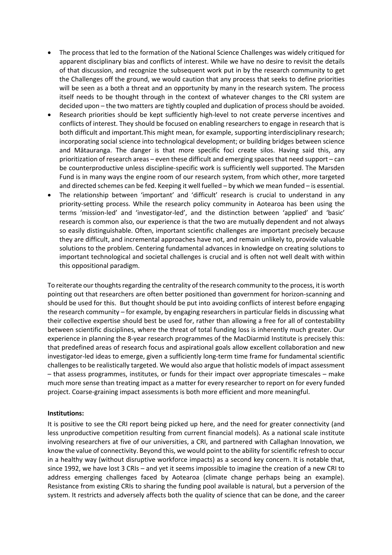- The process that led to the formation of the National Science Challenges was widely critiqued for apparent disciplinary bias and conflicts of interest. While we have no desire to revisit the details of that discussion, and recognize the subsequent work put in by the research community to get the Challenges off the ground, we would caution that any process that seeks to define priorities will be seen as a both a threat and an opportunity by many in the research system. The process itself needs to be thought through in the context of whatever changes to the CRI system are decided upon – the two matters are tightly coupled and duplication of process should be avoided.
- Research priorities should be kept sufficiently high-level to not create perverse incentives and conflicts of interest. They should be focused on enabling researchers to engage in research that is both difficult and important.This might mean, for example, supporting interdisciplinary research; incorporating social science into technological development; or building bridges between science and Mātauranga. The danger is that more specific foci create silos. Having said this, any prioritization of research areas – even these difficult and emerging spaces that need support – can be counterproductive unless discipline-specific work is sufficiently well supported. The Marsden Fund is in many ways the engine room of our research system, from which other, more targeted and directed schemes can be fed. Keeping it well fuelled – by which we mean funded – is essential.
- The relationship between 'important' and 'difficult' research is crucial to understand in any priority-setting process. While the research policy community in Aotearoa has been using the terms 'mission-led' and 'investigator-led', and the distinction between 'applied' and 'basic' research is common also, our experience is that the two are mutually dependent and not always so easily distinguishable. Often, important scientific challenges are important precisely because they are difficult, and incremental approaches have not, and remain unlikely to, provide valuable solutions to the problem. Centering fundamental advances in knowledge on creating solutions to important technological and societal challenges is crucial and is often not well dealt with within this oppositional paradigm.

To reiterate our thoughts regarding the centrality of the research community to the process, it is worth pointing out that researchers are often better positioned than government for horizon-scanning and should be used for this. But thought should be put into avoiding conflicts of interest before engaging the research community – for example, by engaging researchers in particular fields in discussing what their collective expertise should best be used for, rather than allowing a free for all of contestability between scientific disciplines, where the threat of total funding loss is inherently much greater. Our experience in planning the 8-year research programmes of the MacDiarmid Institute is precisely this: that predefined areas of research focus and aspirational goals allow excellent collaboration and new investigator-led ideas to emerge, given a sufficiently long-term time frame for fundamental scientific challenges to be realistically targeted. We would also argue that holistic models of impact assessment – that assess programmes, institutes, or funds for their impact over appropriate timescales – make much more sense than treating impact as a matter for every researcher to report on for every funded project. Coarse-graining impact assessments is both more efficient and more meaningful.

#### **Institutions:**

It is positive to see the CRI report being picked up here, and the need for greater connectivity (and less unproductive competition resulting from current financial models). As a national scale institute involving researchers at five of our universities, a CRI, and partnered with Callaghan Innovation, we know the value of connectivity. Beyond this, we would point to the ability for scientific refresh to occur in a healthy way (without disruptive workforce impacts) as a second key concern. It is notable that, since 1992, we have lost 3 CRIs – and yet it seems impossible to imagine the creation of a new CRI to address emerging challenges faced by Aotearoa (climate change perhaps being an example). Resistance from existing CRIs to sharing the funding pool available is natural, but a perversion of the system. It restricts and adversely affects both the quality of science that can be done, and the career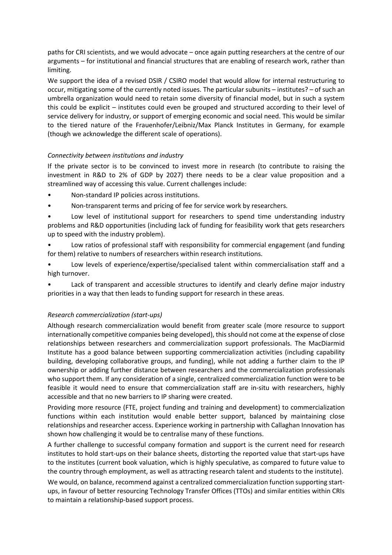paths for CRI scientists, and we would advocate – once again putting researchers at the centre of our arguments – for institutional and financial structures that are enabling of research work, rather than limiting.

We support the idea of a revised DSIR / CSIRO model that would allow for internal restructuring to occur, mitigating some of the currently noted issues. The particular subunits – institutes? – of such an umbrella organization would need to retain some diversity of financial model, but in such a system this could be explicit – institutes could even be grouped and structured according to their level of service delivery for industry, or support of emerging economic and social need. This would be similar to the tiered nature of the Frauenhofer/Leibniz/Max Planck Institutes in Germany, for example (though we acknowledge the different scale of operations).

## *Connectivity between institutions and industry*

If the private sector is to be convinced to invest more in research (to contribute to raising the investment in R&D to 2% of GDP by 2027) there needs to be a clear value proposition and a streamlined way of accessing this value. Current challenges include:

- Non-standard IP policies across institutions.
- Non-transparent terms and pricing of fee for service work by researchers.
- Low level of institutional support for researchers to spend time understanding industry problems and R&D opportunities (including lack of funding for feasibility work that gets researchers up to speed with the industry problem).
- Low ratios of professional staff with responsibility for commercial engagement (and funding for them) relative to numbers of researchers within research institutions.
- Low levels of experience/expertise/specialised talent within commercialisation staff and a high turnover.

Lack of transparent and accessible structures to identify and clearly define major industry priorities in a way that then leads to funding support for research in these areas.

## *Research commercialization (start-ups)*

Although research commercialization would benefit from greater scale (more resource to support internationally competitive companies being developed), this should not come at the expense of close relationships between researchers and commercialization support professionals. The MacDiarmid Institute has a good balance between supporting commercialization activities (including capability building, developing collaborative groups, and funding), while not adding a further claim to the IP ownership or adding further distance between researchers and the commercialization professionals who support them. If any consideration of a single, centralized commercialization function were to be feasible it would need to ensure that commercialization staff are in-situ with researchers, highly accessible and that no new barriers to IP sharing were created.

Providing more resource (FTE, project funding and training and development) to commercialization functions within each institution would enable better support, balanced by maintaining close relationships and researcher access. Experience working in partnership with Callaghan Innovation has shown how challenging it would be to centralise many of these functions.

A further challenge to successful company formation and support is the current need for research institutes to hold start-ups on their balance sheets, distorting the reported value that start-ups have to the institutes (current book valuation, which is highly speculative, as compared to future value to the country through employment, as well as attracting research talent and students to the institute).

We would, on balance, recommend against a centralized commercialization function supporting startups, in favour of better resourcing Technology Transfer Offices (TTOs) and similar entities within CRIs to maintain a relationship-based support process.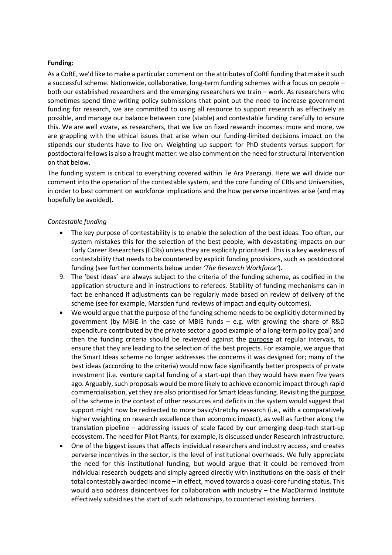## **Funding:**

As a CoRE, we'd like to make a particular comment on the attributes of CoRE funding that make it such a successful scheme. Nationwide, collaborative, long-term funding schemes with a focus on people – both our established researchers and the emerging researchers we train – work. As researchers who sometimes spend time writing policy submissions that point out the need to increase government funding for research, we are committed to using all resource to support research as effectively as possible, and manage our balance between core (stable) and contestable funding carefully to ensure this. We are well aware, as researchers, that we live on fixed research incomes: more and more, we are grappling with the ethical issues that arise when our funding-limited decisions impact on the stipends our students have to live on. Weighting up support for PhD students versus support for postdoctoral fellows is also a fraught matter: we also comment on the need for structural intervention on that below.

The funding system is critical to everything covered within Te Ara Paerangi. Here we will divide our comment into the operation of the contestable system, and the core funding of CRIs and Universities, in order to best comment on workforce implications and the how perverse incentives arise (and may hopefully be avoided).

## *Contestable funding*

- The key purpose of contestability is to enable the selection of the best ideas. Too often, our system mistakes this for the selection of the best people, with devastating impacts on our Early Career Researchers (ECRs) unless they are explicitly prioritised. This is a key weakness of contestability that needs to be countered by explicit funding provisions, such as postdoctoral funding (see further comments below under *'The Research Workforce'*).
- 9. The 'best ideas' are always subject to the criteria of the funding scheme, as codified in the application structure and in instructions to referees. Stability of funding mechanisms can in fact be enhanced if adjustments can be regularly made based on review of delivery of the scheme (see for example, Marsden fund reviews of impact and equity outcomes).
- We would argue that the purpose of the funding scheme needs to be explicitly determined by government (by MBIE in the case of MBIE funds – e.g. with growing the share of R&D expenditure contributed by the private sector a good example of a long-term policy goal) and then the funding criteria should be reviewed against the purpose at regular intervals, to ensure that they are leading to the selection of the best projects. For example, we argue that the Smart Ideas scheme no longer addresses the concerns it was designed for; many of the best ideas (according to the criteria) would now face significantly better prospects of private investment (i.e. venture capital funding of a start-up) than they would have even five years ago. Arguably, such proposals would be more likely to achieve economic impact through rapid commercialisation, yet they are also prioritised for Smart Ideas funding. Revisiting the purpose of the scheme in the context of other resources and deficits in the system would suggest that support might now be redirected to more basic/stretchy research (i.e., with a comparatively higher weighting on research excellence than economic impact), as well as further along the translation pipeline – addressing issues of scale faced by our emerging deep-tech start-up ecosystem. The need for Pilot Plants, for example, is discussed under Research Infrastructure.
- One of the biggest issues that affects individual researchers and industry access, and creates perverse incentives in the sector, is the level of institutional overheads. We fully appreciate the need for this institutional funding, but would argue that it could be removed from individual research budgets and simply agreed directly with institutions on the basis of their total contestably awarded income – in effect, moved towards a quasi-core funding status. This would also address disincentives for collaboration with industry – the MacDiarmid Institute effectively subsidises the start of such relationships, to counteract existing barriers.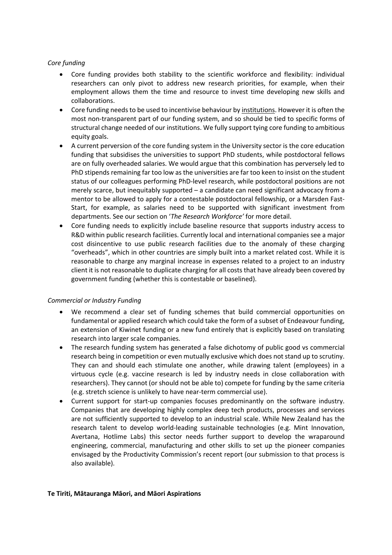## *Core funding*

- Core funding provides both stability to the scientific workforce and flexibility: individual researchers can only pivot to address new research priorities, for example, when their employment allows them the time and resource to invest time developing new skills and collaborations.
- Core funding needs to be used to incentivise behaviour by institutions. However it is often the most non-transparent part of our funding system, and so should be tied to specific forms of structural change needed of our institutions. We fully support tying core funding to ambitious equity goals.
- A current perversion of the core funding system in the University sector is the core education funding that subsidises the universities to support PhD students, while postdoctoral fellows are on fully overheaded salaries. We would argue that this combination has perversely led to PhD stipends remaining far too low as the universities are far too keen to insist on the student status of our colleagues performing PhD-level research, while postdoctoral positions are not merely scarce, but inequitably supported – a candidate can need significant advocacy from a mentor to be allowed to apply for a contestable postdoctoral fellowship, or a Marsden Fast-Start, for example, as salaries need to be supported with significant investment from departments. See our section on '*The Research Workforce'* for more detail.
- Core funding needs to explicitly include baseline resource that supports industry access to R&D within public research facilities. Currently local and international companies see a major cost disincentive to use public research facilities due to the anomaly of these charging "overheads", which in other countries are simply built into a market related cost. While it is reasonable to charge any marginal increase in expenses related to a project to an industry client it is not reasonable to duplicate charging for all costs that have already been covered by government funding (whether this is contestable or baselined).

## *Commercial or Industry Funding*

- We recommend a clear set of funding schemes that build commercial opportunities on fundamental or applied research which could take the form of a subset of Endeavour funding, an extension of Kiwinet funding or a new fund entirely that is explicitly based on translating research into larger scale companies.
- The research funding system has generated a false dichotomy of public good vs commercial research being in competition or even mutually exclusive which does not stand up to scrutiny. They can and should each stimulate one another, while drawing talent (employees) in a virtuous cycle (e.g. vaccine research is led by industry needs in close collaboration with researchers). They cannot (or should not be able to) compete for funding by the same criteria (e.g. stretch science is unlikely to have near-term commercial use).
- Current support for start-up companies focuses predominantly on the software industry. Companies that are developing highly complex deep tech products, processes and services are not sufficiently supported to develop to an industrial scale. While New Zealand has the research talent to develop world-leading sustainable technologies (e.g. Mint Innovation, Avertana, Hotlime Labs) this sector needs further support to develop the wraparound engineering, commercial, manufacturing and other skills to set up the pioneer companies envisaged by the Productivity Commission's recent report (our submission to that process is also available).

## **Te Tiriti, Mātauranga Māori, and Māori Aspirations**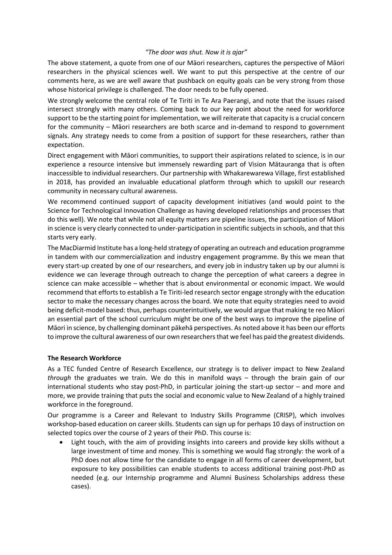## *"The door was shut. Now it is ajar"*

The above statement, a quote from one of our Māori researchers, captures the perspective of Māori researchers in the physical sciences well. We want to put this perspective at the centre of our comments here, as we are well aware that pushback on equity goals can be very strong from those whose historical privilege is challenged. The door needs to be fully opened.

We strongly welcome the central role of Te Tiriti in Te Ara Paerangi, and note that the issues raised intersect strongly with many others. Coming back to our key point about the need for workforce support to be the starting point for implementation, we will reiterate that capacity is a crucial concern for the community – Māori researchers are both scarce and in-demand to respond to government signals. Any strategy needs to come from a position of support for these researchers, rather than expectation.

Direct engagement with Māori communities, to support their aspirations related to science, is in our experience a resource intensive but immensely rewarding part of Vision Mātauranga that is often inaccessible to individual researchers. Our partnership with Whakarewarewa Village, first established in 2018, has provided an invaluable educational platform through which to upskill our research community in necessary cultural awareness.

We recommend continued support of capacity development initiatives (and would point to the Science for Technological Innovation Challenge as having developed relationships and processes that do this well). We note that while not all equity matters are pipeline issues, the participation of Māori in science is very clearly connected to under-participation in scientific subjects in schools, and that this starts very early.

The MacDiarmid Institute has a long-held strategy of operating an outreach and education programme in tandem with our commercialization and industry engagement programme. By this we mean that every start-up created by one of our researchers, and every job in industry taken up by our alumni is evidence we can leverage through outreach to change the perception of what careers a degree in science can make accessible – whether that is about environmental or economic impact. We would recommend that efforts to establish a Te Tiriti-led research sector engage strongly with the education sector to make the necessary changes across the board. We note that equity strategies need to avoid being deficit-model based: thus, perhaps counterintuitively, we would argue that making te reo Māori an essential part of the school curriculum might be one of the best ways to improve the pipeline of Māori in science, by challenging dominant pākehā perspectives. As noted above it has been our efforts to improve the cultural awareness of our own researchers that we feel has paid the greatest dividends.

## **The Research Workforce**

As a TEC funded Centre of Research Excellence, our strategy is to deliver impact to New Zealand *through* the graduates we train. We do this in manifold ways – through the brain gain of our international students who stay post-PhD, in particular joining the start-up sector – and more and more, we provide training that puts the social and economic value to New Zealand of a highly trained workforce in the foreground.

Our programme is a Career and Relevant to Industry Skills Programme (CRISP), which involves workshop-based education on career skills. Students can sign up for perhaps 10 days of instruction on selected topics over the course of 2 years of their PhD. This course is:

• Light touch, with the aim of providing insights into careers and provide key skills without a large investment of time and money. This is something we would flag strongly: the work of a PhD does not allow time for the candidate to engage in all forms of career development, but exposure to key possibilities can enable students to access additional training post-PhD as needed (e.g. our Internship programme and Alumni Business Scholarships address these cases).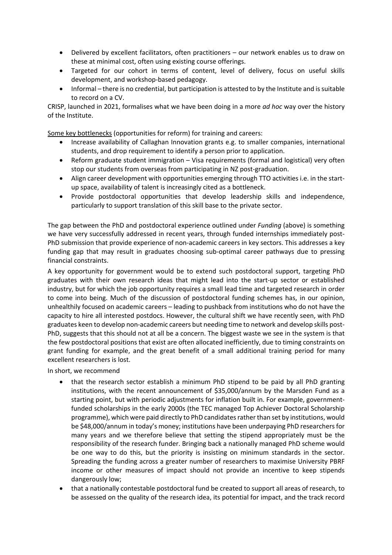- Delivered by excellent facilitators, often practitioners our network enables us to draw on these at minimal cost, often using existing course offerings.
- Targeted for our cohort in terms of content, level of delivery, focus on useful skills development, and workshop-based pedagogy.
- Informal there is no credential, but participation is attested to by the Institute and is suitable to record on a CV.

CRISP, launched in 2021, formalises what we have been doing in a more *ad hoc* way over the history of the Institute.

Some key bottlenecks (opportunities for reform) for training and careers:

- Increase availability of Callaghan Innovation grants e.g. to smaller companies, international students, and drop requirement to identify a person prior to application.
- Reform graduate student immigration Visa requirements (formal and logistical) very often stop our students from overseas from participating in NZ post-graduation.
- Align career development with opportunities emerging through TTO activities i.e. in the startup space, availability of talent is increasingly cited as a bottleneck.
- Provide postdoctoral opportunities that develop leadership skills and independence, particularly to support translation of this skill base to the private sector.

The gap between the PhD and postdoctoral experience outlined under *Funding* (above) is something we have very successfully addressed in recent years, through funded internships immediately post-PhD submission that provide experience of non-academic careers in key sectors. This addresses a key funding gap that may result in graduates choosing sub-optimal career pathways due to pressing financial constraints.

A key opportunity for government would be to extend such postdoctoral support, targeting PhD graduates with their own research ideas that might lead into the start-up sector or established industry, but for which the job opportunity requires a small lead time and targeted research in order to come into being. Much of the discussion of postdoctoral funding schemes has, in our opinion, unhealthily focused on academic careers – leading to pushback from institutions who do not have the capacity to hire all interested postdocs. However, the cultural shift we have recently seen, with PhD graduates keen to develop non-academic careers but needing time to network and develop skills post-PhD, suggests that this should not at all be a concern. The biggest waste we see in the system is that the few postdoctoral positions that exist are often allocated inefficiently, due to timing constraints on grant funding for example, and the great benefit of a small additional training period for many excellent researchers is lost.

In short, we recommend

- that the research sector establish a minimum PhD stipend to be paid by all PhD granting institutions, with the recent announcement of \$35,000/annum by the Marsden Fund as a starting point, but with periodic adjustments for inflation built in. For example, governmentfunded scholarships in the early 2000s (the TEC managed Top Achiever Doctoral Scholarship programme), which were paid directly to PhD candidates rather than set by institutions, would be \$48,000/annum in today's money; institutions have been underpaying PhD researchers for many years and we therefore believe that setting the stipend appropriately must be the responsibility of the research funder. Bringing back a nationally managed PhD scheme would be one way to do this, but the priority is insisting on minimum standards in the sector. Spreading the funding across a greater number of researchers to maximise University PBRF income or other measures of impact should not provide an incentive to keep stipends dangerously low;
- that a nationally contestable postdoctoral fund be created to support all areas of research, to be assessed on the quality of the research idea, its potential for impact, and the track record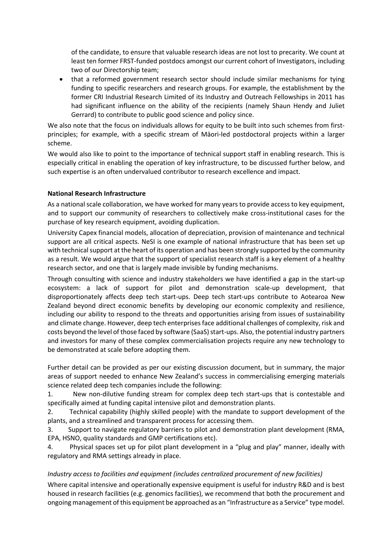of the candidate, to ensure that valuable research ideas are not lost to precarity. We count at least ten former FRST-funded postdocs amongst our current cohort of Investigators, including two of our Directorship team;

• that a reformed government research sector should include similar mechanisms for tying funding to specific researchers and research groups. For example, the establishment by the former CRI Industrial Research Limited of its Industry and Outreach Fellowships in 2011 has had significant influence on the ability of the recipients (namely Shaun Hendy and Juliet Gerrard) to contribute to public good science and policy since.

We also note that the focus on individuals allows for equity to be built into such schemes from firstprinciples; for example, with a specific stream of Māori-led postdoctoral projects within a larger scheme.

We would also like to point to the importance of technical support staff in enabling research. This is especially critical in enabling the operation of key infrastructure, to be discussed further below, and such expertise is an often undervalued contributor to research excellence and impact.

## **National Research Infrastructure**

As a national scale collaboration, we have worked for many years to provide access to key equipment, and to support our community of researchers to collectively make cross-institutional cases for the purchase of key research equipment, avoiding duplication.

University Capex financial models, allocation of depreciation, provision of maintenance and technical support are all critical aspects. NeSI is one example of national infrastructure that has been set up with technical support at the heart of its operation and has been strongly supported by the community as a result. We would argue that the support of specialist research staff is a key element of a healthy research sector, and one that is largely made invisible by funding mechanisms.

Through consulting with science and industry stakeholders we have identified a gap in the start-up ecosystem: a lack of support for pilot and demonstration scale-up development, that disproportionately affects deep tech start-ups. Deep tech start-ups contribute to Aotearoa New Zealand beyond direct economic benefits by developing our economic complexity and resilience, including our ability to respond to the threats and opportunities arising from issues of sustainability and climate change. However, deep tech enterprises face additional challenges of complexity, risk and costs beyond the level of those faced by software (SaaS) start-ups. Also, the potential industry partners and investors for many of these complex commercialisation projects require any new technology to be demonstrated at scale before adopting them.

Further detail can be provided as per our existing discussion document, but in summary, the major areas of support needed to enhance New Zealand's success in commercialising emerging materials science related deep tech companies include the following:

1. New non-dilutive funding stream for complex deep tech start-ups that is contestable and specifically aimed at funding capital intensive pilot and demonstration plants.

2. Technical capability (highly skilled people) with the mandate to support development of the plants, and a streamlined and transparent process for accessing them.

3. Support to navigate regulatory barriers to pilot and demonstration plant development (RMA, EPA, HSNO, quality standards and GMP certifications etc).

4. Physical spaces set up for pilot plant development in a "plug and play" manner, ideally with regulatory and RMA settings already in place.

## *Industry access to facilities and equipment (includes centralized procurement of new facilities)*

Where capital intensive and operationally expensive equipment is useful for industry R&D and is best housed in research facilities (e.g. genomics facilities), we recommend that both the procurement and ongoing management of this equipment be approached as an "Infrastructure as a Service" type model.